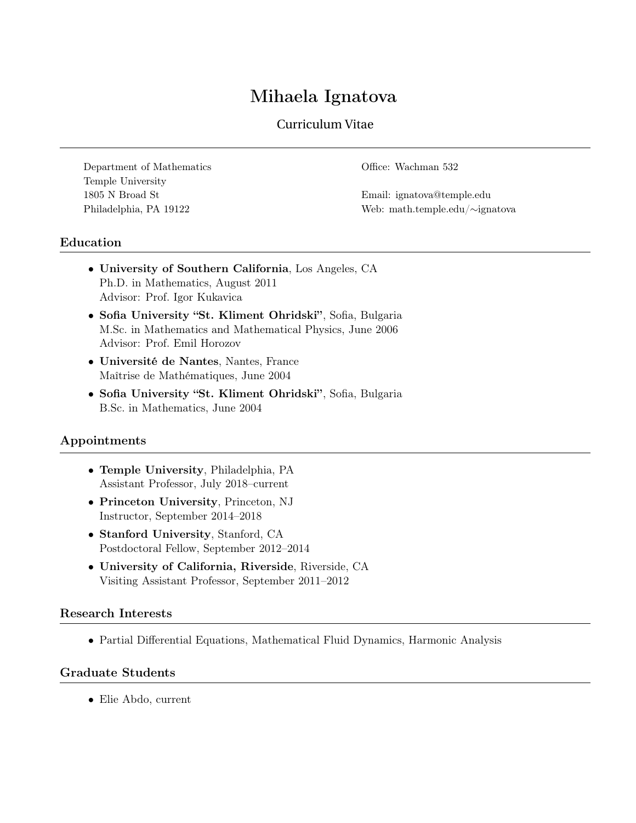# Mihaela Ignatova

# Curriculum Vitae

Department of Mathematics Office: Wachman 532 Temple University 1805 N Broad St Email: ignatova@temple.edu

Philadelphia, PA 19122 Web: math.temple.edu/∼ignatova

# Education

- University of Southern California, Los Angeles, CA Ph.D. in Mathematics, August 2011 Advisor: Prof. Igor Kukavica
- Sofia University "St. Kliment Ohridski" , Sofia, Bulgaria M.Sc. in Mathematics and Mathematical Physics, June 2006 Advisor: Prof. Emil Horozov
- Université de Nantes, Nantes, France Maîtrise de Mathématiques, June 2004
- Sofia University "St. Kliment Ohridski" , Sofia, Bulgaria B.Sc. in Mathematics, June 2004

## Appointments

- Temple University, Philadelphia, PA Assistant Professor, July 2018–current
- Princeton University, Princeton, NJ Instructor, September 2014–2018
- Stanford University, Stanford, CA Postdoctoral Fellow, September 2012–2014
- University of California, Riverside, Riverside, CA Visiting Assistant Professor, September 2011–2012

## Research Interests

• Partial Differential Equations, Mathematical Fluid Dynamics, Harmonic Analysis

#### Graduate Students

• Elie Abdo, current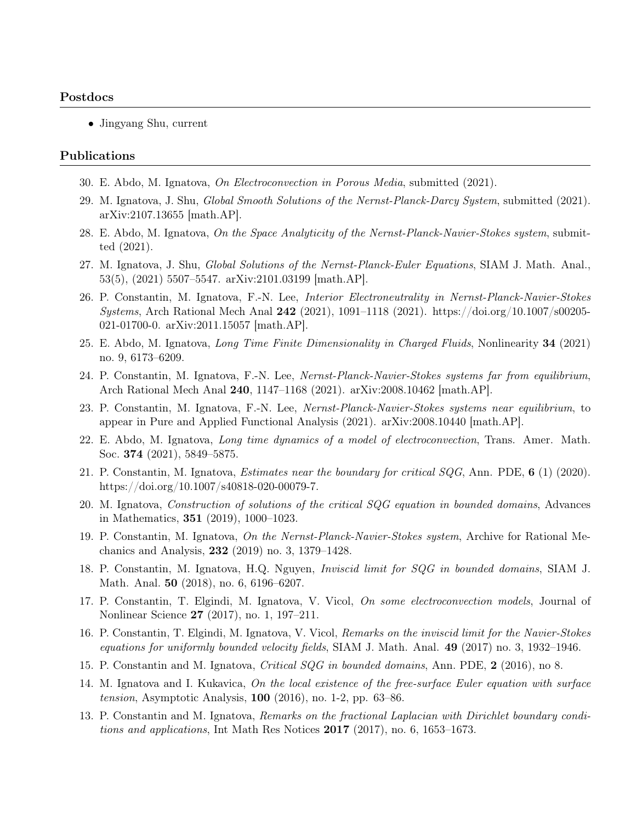#### Postdocs

• Jingyang Shu, current

#### Publications

- 30. E. Abdo, M. Ignatova, On Electroconvection in Porous Media, submitted (2021).
- 29. M. Ignatova, J. Shu, Global Smooth Solutions of the Nernst-Planck-Darcy System, submitted (2021). arXiv:2107.13655 [math.AP].
- 28. E. Abdo, M. Ignatova, On the Space Analyticity of the Nernst-Planck-Navier-Stokes system, submitted (2021).
- 27. M. Ignatova, J. Shu, Global Solutions of the Nernst-Planck-Euler Equations, SIAM J. Math. Anal., 53(5), (2021) 5507–5547. arXiv:2101.03199 [math.AP].
- 26. P. Constantin, M. Ignatova, F.-N. Lee, Interior Electroneutrality in Nernst-Planck-Navier-Stokes Systems, Arch Rational Mech Anal 242 (2021), 1091–1118 (2021). https://doi.org/10.1007/s00205- 021-01700-0. arXiv:2011.15057 [math.AP].
- 25. E. Abdo, M. Ignatova, Long Time Finite Dimensionality in Charged Fluids, Nonlinearity 34 (2021) no. 9, 6173–6209.
- 24. P. Constantin, M. Ignatova, F.-N. Lee, Nernst-Planck-Navier-Stokes systems far from equilibrium, Arch Rational Mech Anal 240, 1147–1168 (2021). arXiv:2008.10462 [math.AP].
- 23. P. Constantin, M. Ignatova, F.-N. Lee, Nernst-Planck-Navier-Stokes systems near equilibrium, to appear in Pure and Applied Functional Analysis (2021). arXiv:2008.10440 [math.AP].
- 22. E. Abdo, M. Ignatova, Long time dynamics of a model of electroconvection, Trans. Amer. Math. Soc. 374 (2021), 5849–5875.
- 21. P. Constantin, M. Ignatova, Estimates near the boundary for critical SQG, Ann. PDE, 6 (1) (2020). https://doi.org/10.1007/s40818-020-00079-7.
- 20. M. Ignatova, Construction of solutions of the critical SQG equation in bounded domains, Advances in Mathematics, 351 (2019), 1000–1023.
- 19. P. Constantin, M. Ignatova, On the Nernst-Planck-Navier-Stokes system, Archive for Rational Mechanics and Analysis, 232 (2019) no. 3, 1379–1428.
- 18. P. Constantin, M. Ignatova, H.Q. Nguyen, Inviscid limit for SQG in bounded domains, SIAM J. Math. Anal. 50 (2018), no. 6, 6196–6207.
- 17. P. Constantin, T. Elgindi, M. Ignatova, V. Vicol, On some electroconvection models, Journal of Nonlinear Science 27 (2017), no. 1, 197–211.
- 16. P. Constantin, T. Elgindi, M. Ignatova, V. Vicol, Remarks on the inviscid limit for the Navier-Stokes equations for uniformly bounded velocity fields, SIAM J. Math. Anal.  $49$  (2017) no. 3, 1932–1946.
- 15. P. Constantin and M. Ignatova, Critical SQG in bounded domains, Ann. PDE, 2 (2016), no 8.
- 14. M. Ignatova and I. Kukavica, On the local existence of the free-surface Euler equation with surface tension, Asymptotic Analysis, 100 (2016), no. 1-2, pp. 63–86.
- 13. P. Constantin and M. Ignatova, Remarks on the fractional Laplacian with Dirichlet boundary conditions and applications, Int Math Res Notices  $2017$  (2017), no. 6, 1653–1673.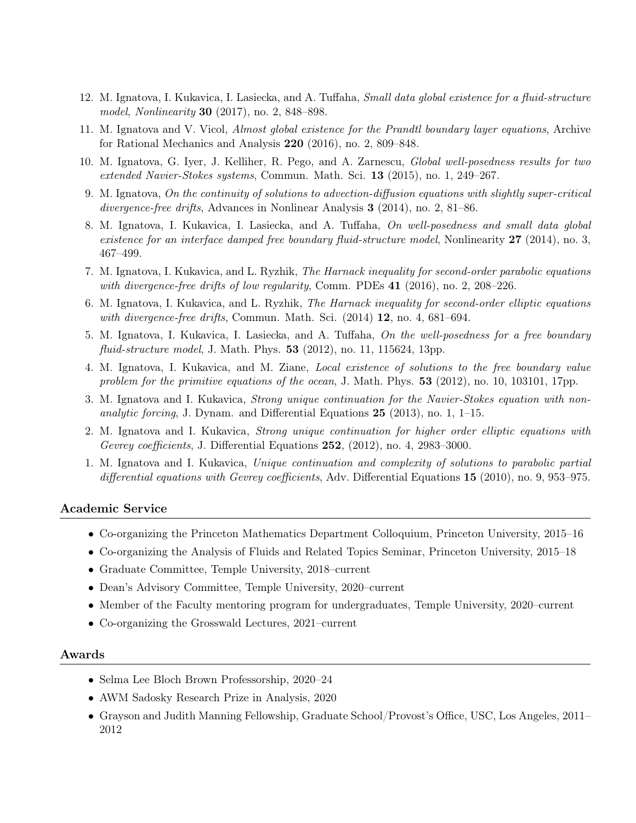- 12. M. Ignatova, I. Kukavica, I. Lasiecka, and A. Tuffaha, Small data global existence for a fluid-structure model, Nonlinearity 30 (2017), no. 2, 848–898.
- 11. M. Ignatova and V. Vicol, Almost global existence for the Prandtl boundary layer equations, Archive for Rational Mechanics and Analysis 220 (2016), no. 2, 809–848.
- 10. M. Ignatova, G. Iyer, J. Kelliher, R. Pego, and A. Zarnescu, Global well-posedness results for two extended Navier-Stokes systems, Commun. Math. Sci. 13 (2015), no. 1, 249–267.
- 9. M. Ignatova, On the continuity of solutions to advection-diffusion equations with slightly super-critical divergence-free drifts, Advances in Nonlinear Analysis 3 (2014), no. 2, 81–86.
- 8. M. Ignatova, I. Kukavica, I. Lasiecka, and A. Tuffaha, On well-posedness and small data global existence for an interface damped free boundary fluid-structure model, Nonlinearity 27 (2014), no. 3, 467–499.
- 7. M. Ignatova, I. Kukavica, and L. Ryzhik, The Harnack inequality for second-order parabolic equations with divergence-free drifts of low regularity, Comm. PDEs 41 (2016), no. 2, 208-226.
- 6. M. Ignatova, I. Kukavica, and L. Ryzhik, The Harnack inequality for second-order elliptic equations with divergence-free drifts, Commun. Math. Sci.  $(2014)$  12, no. 4, 681–694.
- 5. M. Ignatova, I. Kukavica, I. Lasiecka, and A. Tuffaha, On the well-posedness for a free boundary fluid-structure model, J. Math. Phys. **53** (2012), no. 11, 115624, 13pp.
- 4. M. Ignatova, I. Kukavica, and M. Ziane, Local existence of solutions to the free boundary value problem for the primitive equations of the ocean, J. Math. Phys.  $53$  (2012), no. 10, 103101, 17pp.
- 3. M. Ignatova and I. Kukavica, Strong unique continuation for the Navier-Stokes equation with nonanalytic forcing, J. Dynam. and Differential Equations  $25$  (2013), no. 1, 1–15.
- 2. M. Ignatova and I. Kukavica, Strong unique continuation for higher order elliptic equations with Gevrey coefficients, J. Differential Equations 252, (2012), no. 4, 2983-3000.
- 1. M. Ignatova and I. Kukavica, Unique continuation and complexity of solutions to parabolic partial differential equations with Gevrey coefficients, Adv. Differential Equations 15 (2010), no. 9, 953–975.

#### Academic Service

- Co-organizing the Princeton Mathematics Department Colloquium, Princeton University, 2015–16
- Co-organizing the Analysis of Fluids and Related Topics Seminar, Princeton University, 2015–18
- Graduate Committee, Temple University, 2018–current
- Dean's Advisory Committee, Temple University, 2020–current
- Member of the Faculty mentoring program for undergraduates, Temple University, 2020–current
- Co-organizing the Grosswald Lectures, 2021–current

#### Awards

- Selma Lee Bloch Brown Professorship, 2020–24
- AWM Sadosky Research Prize in Analysis, 2020
- Grayson and Judith Manning Fellowship, Graduate School/Provost's Office, USC, Los Angeles, 2011– 2012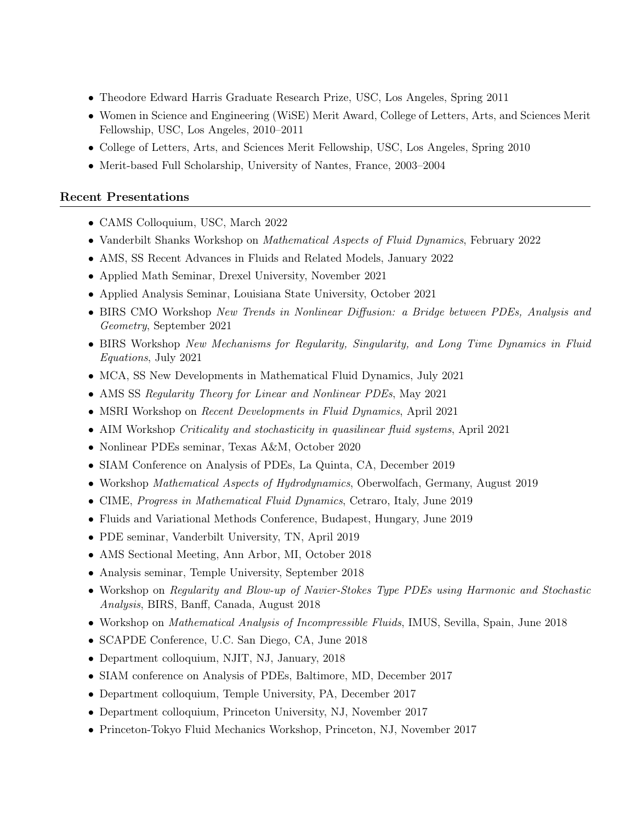- Theodore Edward Harris Graduate Research Prize, USC, Los Angeles, Spring 2011
- Women in Science and Engineering (WiSE) Merit Award, College of Letters, Arts, and Sciences Merit Fellowship, USC, Los Angeles, 2010–2011
- College of Letters, Arts, and Sciences Merit Fellowship, USC, Los Angeles, Spring 2010
- Merit-based Full Scholarship, University of Nantes, France, 2003–2004

# Recent Presentations

- CAMS Colloquium, USC, March 2022
- Vanderbilt Shanks Workshop on Mathematical Aspects of Fluid Dynamics, February 2022
- AMS, SS Recent Advances in Fluids and Related Models, January 2022
- Applied Math Seminar, Drexel University, November 2021
- Applied Analysis Seminar, Louisiana State University, October 2021
- BIRS CMO Workshop New Trends in Nonlinear Diffusion: a Bridge between PDEs, Analysis and Geometry, September 2021
- BIRS Workshop New Mechanisms for Regularity, Singularity, and Long Time Dynamics in Fluid Equations, July 2021
- MCA, SS New Developments in Mathematical Fluid Dynamics, July 2021
- AMS SS Regularity Theory for Linear and Nonlinear PDEs, May 2021
- MSRI Workshop on *Recent Developments in Fluid Dynamics*, April 2021
- AIM Workshop Criticality and stochasticity in quasilinear fluid systems, April 2021
- Nonlinear PDEs seminar, Texas A&M, October 2020
- SIAM Conference on Analysis of PDEs, La Quinta, CA, December 2019
- Workshop *Mathematical Aspects of Hydrodynamics*, Oberwolfach, Germany, August 2019
- CIME, *Progress in Mathematical Fluid Dynamics*, Cetraro, Italy, June 2019
- Fluids and Variational Methods Conference, Budapest, Hungary, June 2019
- PDE seminar, Vanderbilt University, TN, April 2019
- AMS Sectional Meeting, Ann Arbor, MI, October 2018
- Analysis seminar, Temple University, September 2018
- Workshop on Regularity and Blow-up of Navier-Stokes Type PDEs using Harmonic and Stochastic Analysis, BIRS, Banff, Canada, August 2018
- Workshop on Mathematical Analysis of Incompressible Fluids, IMUS, Sevilla, Spain, June 2018
- SCAPDE Conference, U.C. San Diego, CA, June 2018
- Department colloquium, NJIT, NJ, January, 2018
- SIAM conference on Analysis of PDEs, Baltimore, MD, December 2017
- Department colloquium, Temple University, PA, December 2017
- Department colloquium, Princeton University, NJ, November 2017
- Princeton-Tokyo Fluid Mechanics Workshop, Princeton, NJ, November 2017